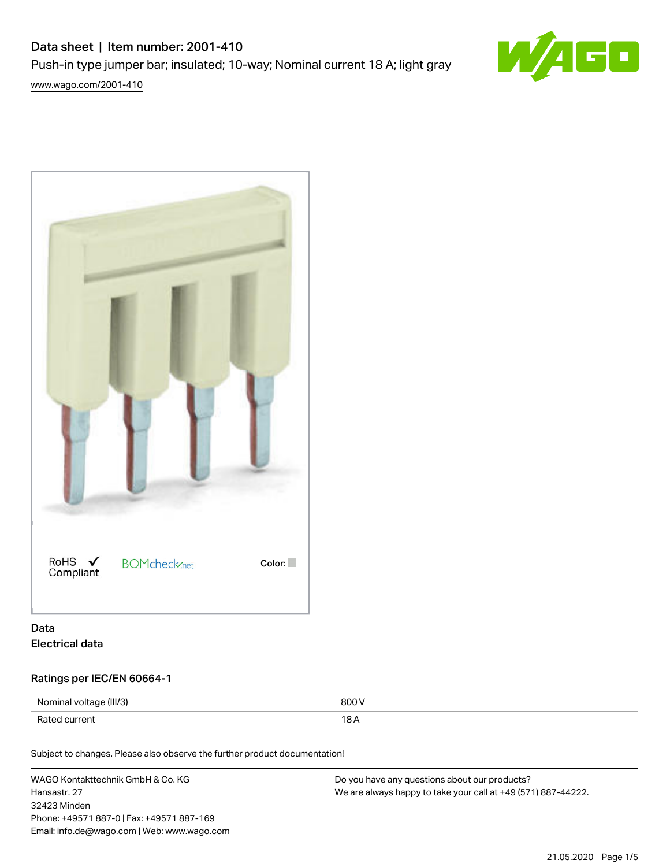# Data sheet | Item number: 2001-410 Push-in type jumper bar; insulated; 10-way; Nominal current 18 A; light gray [www.wago.com/2001-410](http://www.wago.com/2001-410)



RoHS  $\checkmark$ **BOMcheck**<sub>net</sub> Color: Compliant

# Data Electrical data

# Ratings per IEC/EN 60664-1

| Nominal voltage (III/3) | 800 V |
|-------------------------|-------|
| Rated current           |       |

Subject to changes. Please also observe the further product documentation!

WAGO Kontakttechnik GmbH & Co. KG Hansastr. 27 32423 Minden Phone: +49571 887-0 | Fax: +49571 887-169 Email: info.de@wago.com | Web: www.wago.com Do you have any questions about our products? We are always happy to take your call at +49 (571) 887-44222.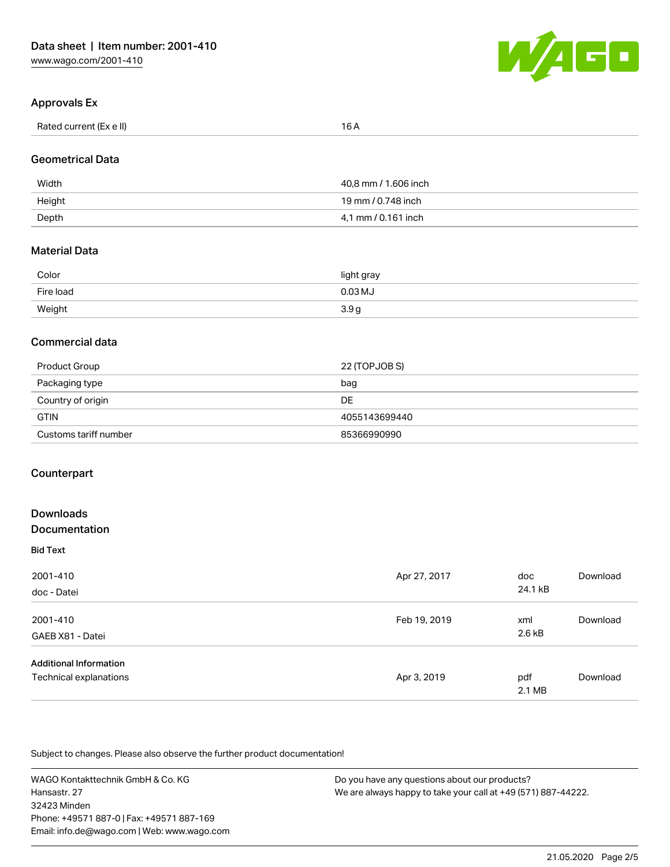

# Approvals Ex

| Rated current (Ex e II) | 16 A |
|-------------------------|------|

#### Geometrical Data

| Width  | 40,8 mm / 1.606 inch |
|--------|----------------------|
| Height | 19 mm / 0.748 inch   |
| Depth  | 4.1 mm / 0.161 inch  |

#### Material Data

| Color     | light gray       |
|-----------|------------------|
| Fire load | $0.03$ MJ        |
| Weight    | 3.9 <sub>g</sub> |

#### Commercial data

| Product Group         | 22 (TOPJOB S) |
|-----------------------|---------------|
| Packaging type        | bag           |
| Country of origin     | DE            |
| <b>GTIN</b>           | 4055143699440 |
| Customs tariff number | 85366990990   |

## **Counterpart**

# Downloads Documentation

|  | --------------  |  |  |  |
|--|-----------------|--|--|--|
|  | <b>Bid Text</b> |  |  |  |

| 2001-410<br>doc - Datei       | Apr 27, 2017 | doc<br>24.1 kB | Download |
|-------------------------------|--------------|----------------|----------|
| 2001-410                      | Feb 19, 2019 | xml            | Download |
| GAEB X81 - Datei              |              | 2.6 kB         |          |
| <b>Additional Information</b> |              |                |          |
| Technical explanations        | Apr 3, 2019  | pdf<br>2.1 MB  | Download |

Subject to changes. Please also observe the further product documentation!

WAGO Kontakttechnik GmbH & Co. KG Hansastr. 27 32423 Minden Phone: +49571 887-0 | Fax: +49571 887-169 Email: info.de@wago.com | Web: www.wago.com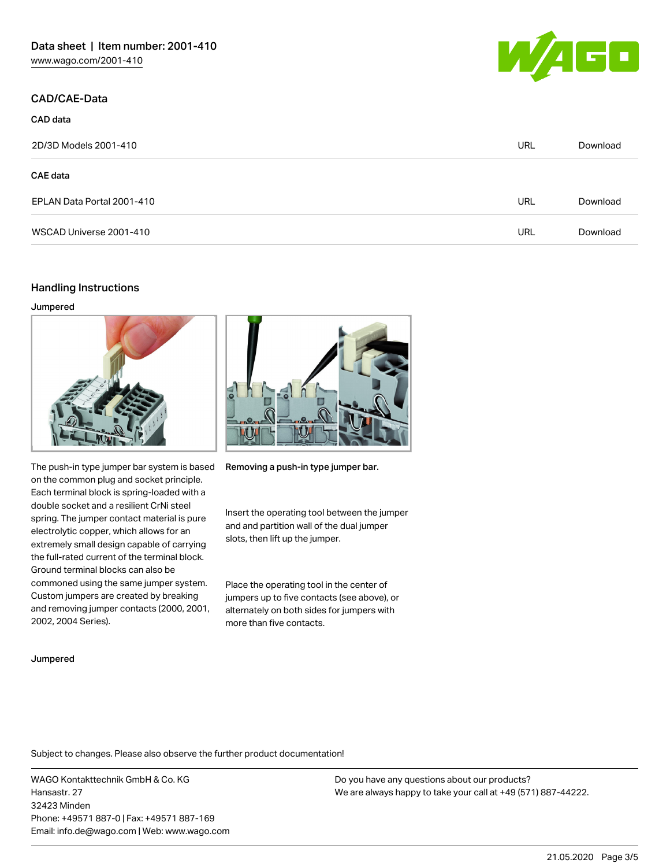## CAD/CAE-Data



| CAD data                   |            |          |
|----------------------------|------------|----------|
| 2D/3D Models 2001-410      | <b>URL</b> | Download |
| <b>CAE data</b>            |            |          |
| EPLAN Data Portal 2001-410 | <b>URL</b> | Download |
| WSCAD Universe 2001-410    | URL        | Download |

## Handling Instructions

#### Jumpered





The push-in type jumper bar system is based on the common plug and socket principle. Each terminal block is spring-loaded with a double socket and a resilient CrNi steel spring. The jumper contact material is pure electrolytic copper, which allows for an extremely small design capable of carrying the full-rated current of the terminal block. Ground terminal blocks can also be commoned using the same jumper system. Custom jumpers are created by breaking and removing jumper contacts (2000, 2001, 2002, 2004 Series).

Removing a push-in type jumper bar.

Insert the operating tool between the jumper and and partition wall of the dual jumper slots, then lift up the jumper.

Place the operating tool in the center of jumpers up to five contacts (see above), or alternately on both sides for jumpers with more than five contacts.

#### Jumpered

Subject to changes. Please also observe the further product documentation!

WAGO Kontakttechnik GmbH & Co. KG Hansastr. 27 32423 Minden Phone: +49571 887-0 | Fax: +49571 887-169 Email: info.de@wago.com | Web: www.wago.com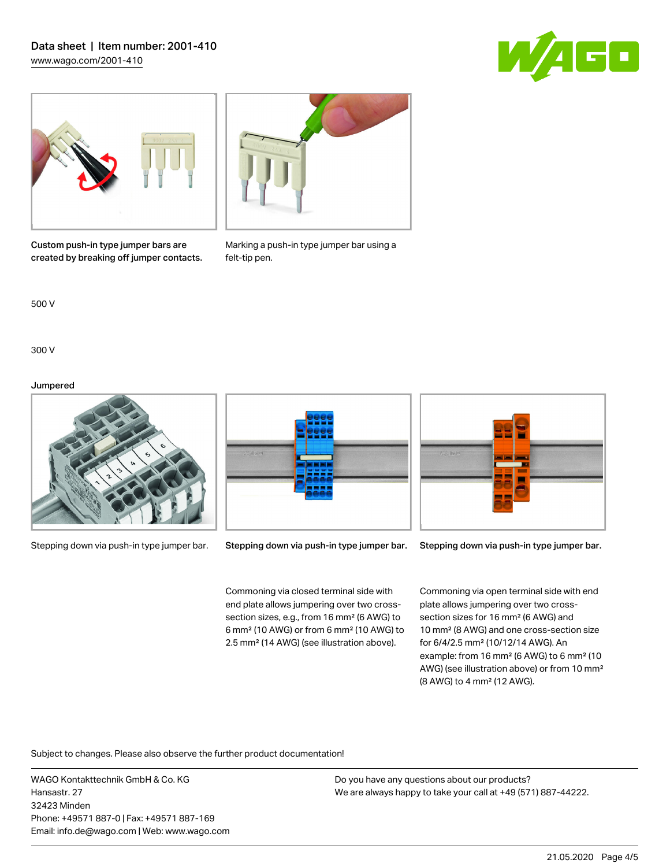# Data sheet | Item number: 2001-410 [www.wago.com/2001-410](http://www.wago.com/2001-410)







Custom push-in type jumper bars are created by breaking off jumper contacts. Marking a push-in type jumper bar using a felt-tip pen.

500 V

300 V

#### Jumpered



Stepping down via push-in type jumper bar.



Stepping down via push-in type jumper bar.

Commoning via closed terminal side with end plate allows jumpering over two crosssection sizes, e.g., from 16 mm² (6 AWG) to 6 mm² (10 AWG) or from 6 mm² (10 AWG) to 2.5 mm² (14 AWG) (see illustration above).



Stepping down via push-in type jumper bar.

Commoning via open terminal side with end plate allows jumpering over two crosssection sizes for 16 mm² (6 AWG) and 10 mm² (8 AWG) and one cross-section size for 6/4/2.5 mm² (10/12/14 AWG). An example: from 16 mm² (6 AWG) to 6 mm² (10 AWG) (see illustration above) or from 10 mm² (8 AWG) to 4 mm² (12 AWG).

Subject to changes. Please also observe the further product documentation!

WAGO Kontakttechnik GmbH & Co. KG Hansastr. 27 32423 Minden Phone: +49571 887-0 | Fax: +49571 887-169 Email: info.de@wago.com | Web: www.wago.com